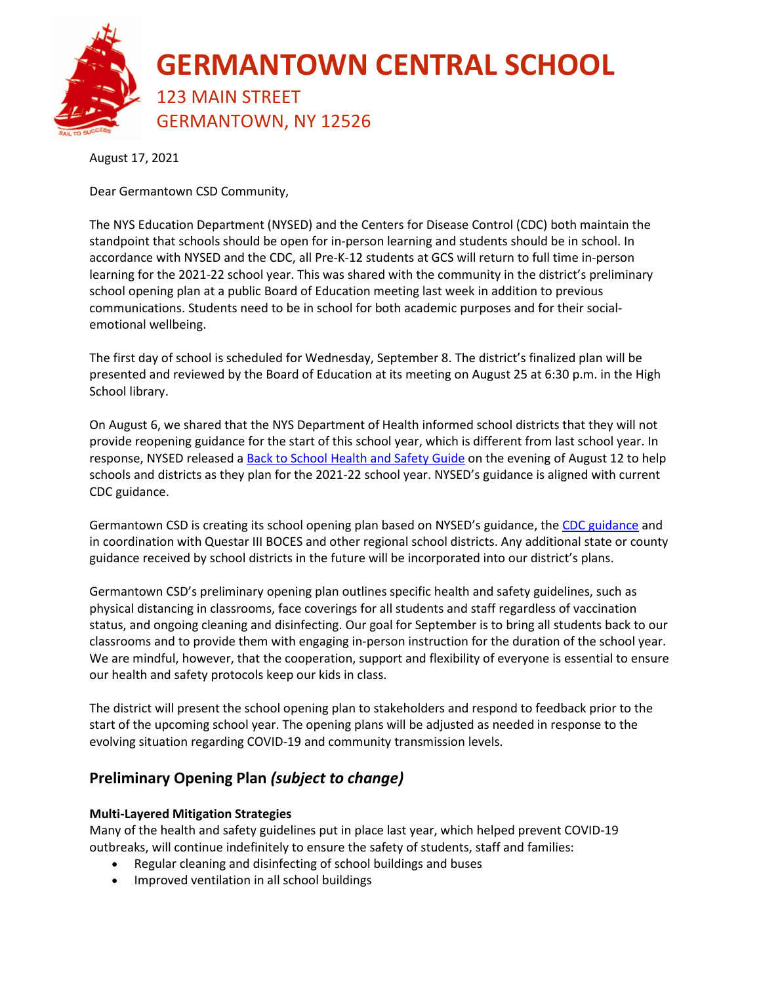

August 17, 2021

Dear Germantown CSD Community,

The NYS Education Department (NYSED) and the Centers for Disease Control (CDC) both maintain the standpoint that schools should be open for in-person learning and students should be in school. In accordance with NYSED and the CDC, all Pre-K-12 students at GCS will return to full time in-person learning for the 2021-22 school year. This was shared with the community in the district's preliminary school opening plan at a public Board of Education meeting last week in addition to previous communications. Students need to be in school for both academic purposes and for their socialemotional wellbeing.

The first day of school is scheduled for Wednesday, September 8. The district's finalized plan will be presented and reviewed by the Board of Education at its meeting on August 25 at 6:30 p.m. in the High School library.

On August 6, we shared that the NYS Department of Health informed school districts that they will not provide reopening guidance for the start of this school year, which is different from last school year. In response, NYSED released [a Back to School Health and Safety Guide](https://www.germantowncsd.org/cms/lib/NY01913667/Centricity/ModuleInstance/14/Health%20and%20Safety%20Guide%20for%20the%202021-2022%20School%20Year.pdf) on the evening of August 12 to help schools and districts as they plan for the 2021-22 school year. NYSED's guidance is aligned with current CDC guidance.

Germantown CSD is creating its school opening plan based on NYSED's guidance, th[e CDC guidance](https://www.cdc.gov/coronavirus/2019-ncov/community/schools-childcare/k-12-guidance.html) and in coordination with Questar III BOCES and other regional school districts. Any additional state or county guidance received by school districts in the future will be incorporated into our district's plans.

Germantown CSD's preliminary opening plan outlines specific health and safety guidelines, such as physical distancing in classrooms, face coverings for all students and staff regardless of vaccination status, and ongoing cleaning and disinfecting. Our goal for September is to bring all students back to our classrooms and to provide them with engaging in-person instruction for the duration of the school year. We are mindful, however, that the cooperation, support and flexibility of everyone is essential to ensure our health and safety protocols keep our kids in class.

The district will present the school opening plan to stakeholders and respond to feedback prior to the start of the upcoming school year. The opening plans will be adjusted as needed in response to the evolving situation regarding COVID-19 and community transmission levels.

#### **Preliminary Opening Plan** *(subject to change)*

#### **Multi-Layered Mitigation Strategies**

Many of the health and safety guidelines put in place last year, which helped prevent COVID-19 outbreaks, will continue indefinitely to ensure the safety of students, staff and families:

- Regular cleaning and disinfecting of school buildings and buses
- Improved ventilation in all school buildings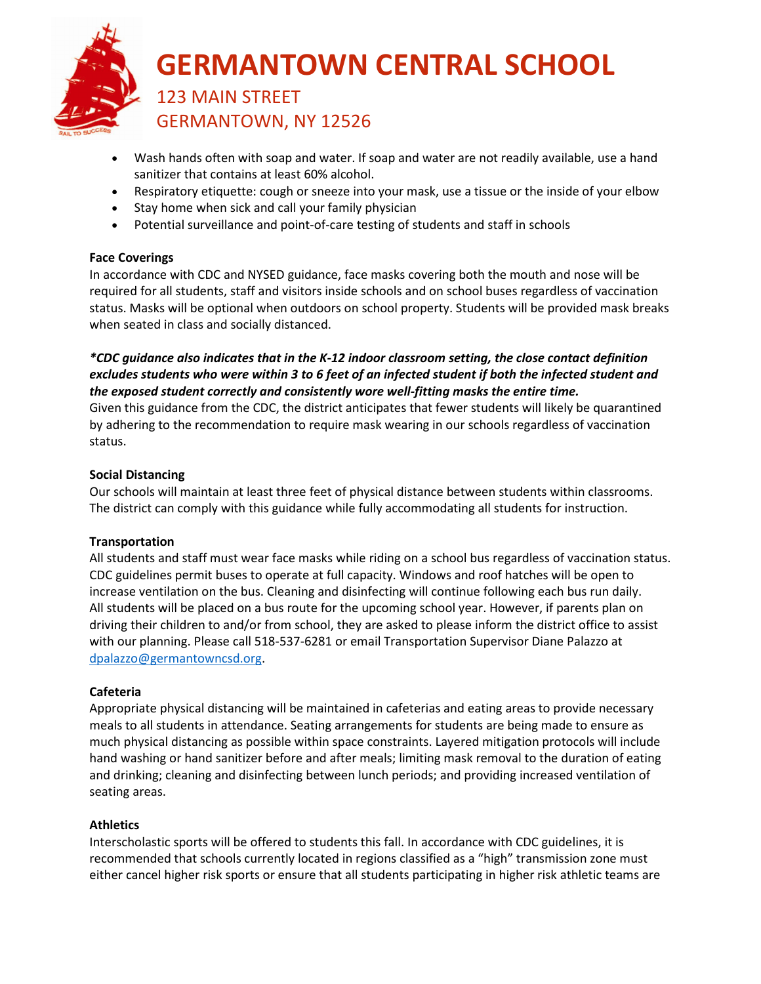

# **GERMANTOWN CENTRAL SCHOOL**

### 123 MAIN STREET GERMANTOWN, NY 12526

- Wash hands often with soap and water. If soap and water are not readily available, use a hand sanitizer that contains at least 60% alcohol.
- Respiratory etiquette: cough or sneeze into your mask, use a tissue or the inside of your elbow
- Stay home when sick and call your family physician
- Potential surveillance and point-of-care testing of students and staff in schools

#### **Face Coverings**

In accordance with CDC and NYSED guidance, face masks covering both the mouth and nose will be required for all students, staff and visitors inside schools and on school buses regardless of vaccination status. Masks will be optional when outdoors on school property. Students will be provided mask breaks when seated in class and socially distanced.

#### *\*CDC guidance also indicates that in the K-12 indoor classroom setting, the close contact definition excludes students who were within 3 to 6 feet of an infected student if both the infected student and the exposed student correctly and consistently wore well-fitting masks the entire time.*

Given this guidance from the CDC, the district anticipates that fewer students will likely be quarantined by adhering to the recommendation to require mask wearing in our schools regardless of vaccination status.

#### **Social Distancing**

Our schools will maintain at least three feet of physical distance between students within classrooms. The district can comply with this guidance while fully accommodating all students for instruction.

#### **Transportation**

All students and staff must wear face masks while riding on a school bus regardless of vaccination status. CDC guidelines permit buses to operate at full capacity. Windows and roof hatches will be open to increase ventilation on the bus. Cleaning and disinfecting will continue following each bus run daily. All students will be placed on a bus route for the upcoming school year. However, if parents plan on driving their children to and/or from school, they are asked to please inform the district office to assist with our planning. Please call 518-537-6281 or email Transportation Supervisor Diane Palazzo at [dpalazzo@germantowncsd.org.](mailto:dpalazzo@germantowncsd.org)

#### **Cafeteria**

Appropriate physical distancing will be maintained in cafeterias and eating areas to provide necessary meals to all students in attendance. Seating arrangements for students are being made to ensure as much physical distancing as possible within space constraints. Layered mitigation protocols will include hand washing or hand sanitizer before and after meals; limiting mask removal to the duration of eating and drinking; cleaning and disinfecting between lunch periods; and providing increased ventilation of seating areas.

#### **Athletics**

Interscholastic sports will be offered to students this fall. In accordance with CDC guidelines, it is recommended that schools currently located in regions classified as a "high" transmission zone must either cancel higher risk sports or ensure that all students participating in higher risk athletic teams are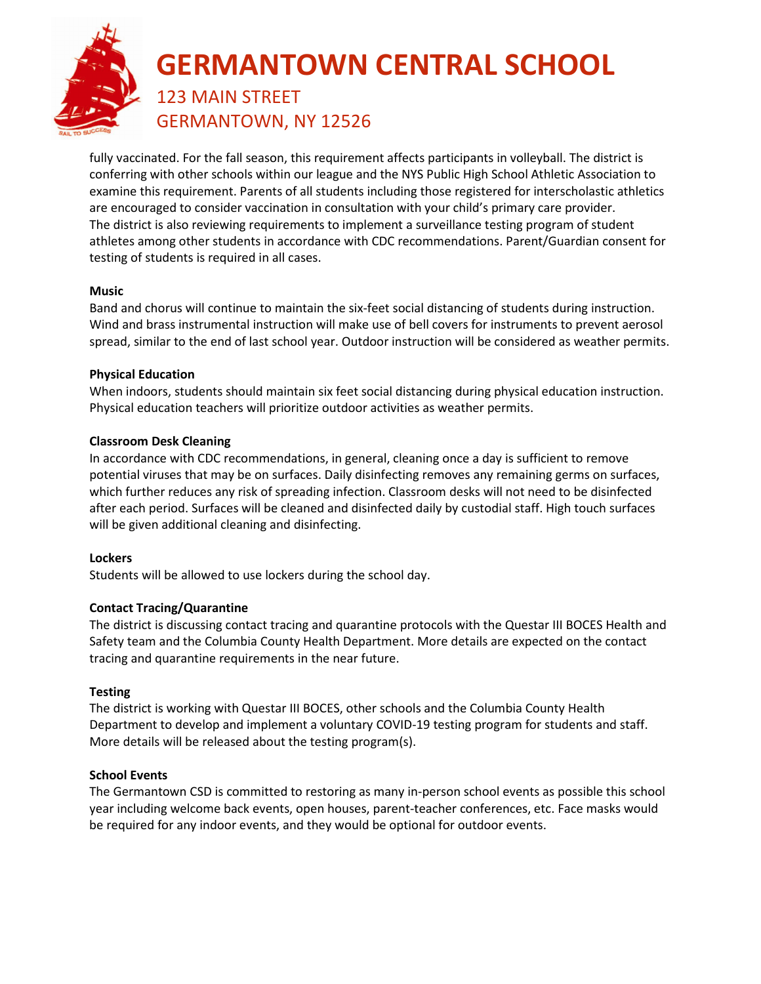

## **GERMANTOWN CENTRAL SCHOOL** 123 MAIN STREET

GERMANTOWN, NY 12526

fully vaccinated. For the fall season, this requirement affects participants in volleyball. The district is conferring with other schools within our league and the NYS Public High School Athletic Association to examine this requirement. Parents of all students including those registered for interscholastic athletics are encouraged to consider vaccination in consultation with your child's primary care provider. The district is also reviewing requirements to implement a surveillance testing program of student athletes among other students in accordance with CDC recommendations. Parent/Guardian consent for testing of students is required in all cases.

#### **Music**

Band and chorus will continue to maintain the six-feet social distancing of students during instruction. Wind and brass instrumental instruction will make use of bell covers for instruments to prevent aerosol spread, similar to the end of last school year. Outdoor instruction will be considered as weather permits.

#### **Physical Education**

When indoors, students should maintain six feet social distancing during physical education instruction. Physical education teachers will prioritize outdoor activities as weather permits.

#### **Classroom Desk Cleaning**

In accordance with CDC recommendations, in general, cleaning once a day is sufficient to remove potential viruses that may be on surfaces. Daily disinfecting removes any remaining germs on surfaces, which further reduces any risk of spreading infection. Classroom desks will not need to be disinfected after each period. Surfaces will be cleaned and disinfected daily by custodial staff. High touch surfaces will be given additional cleaning and disinfecting.

#### **Lockers**

Students will be allowed to use lockers during the school day.

#### **Contact Tracing/Quarantine**

The district is discussing contact tracing and quarantine protocols with the Questar III BOCES Health and Safety team and the Columbia County Health Department. More details are expected on the contact tracing and quarantine requirements in the near future.

#### **Testing**

The district is working with Questar III BOCES, other schools and the Columbia County Health Department to develop and implement a voluntary COVID-19 testing program for students and staff. More details will be released about the testing program(s).

#### **School Events**

The Germantown CSD is committed to restoring as many in-person school events as possible this school year including welcome back events, open houses, parent-teacher conferences, etc. Face masks would be required for any indoor events, and they would be optional for outdoor events.